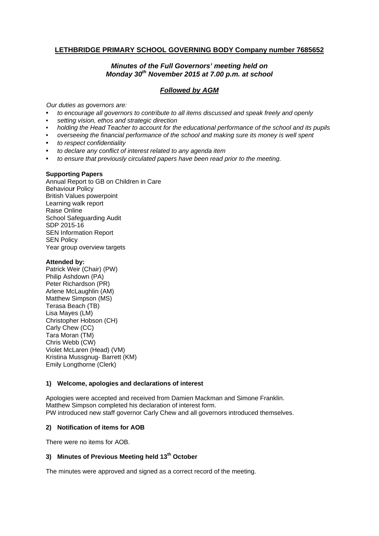# **LETHBRIDGE PRIMARY SCHOOL GOVERNING BODY Company number 7685652**

# *Minutes of the Full Governors' meeting held on Monday 30th November 2015 at 7.00 p.m. at school*

# *Followed by AGM*

*Our duties as governors are:* 

- *to encourage all governors to contribute to all items discussed and speak freely and openly*
- *setting vision, ethos and strategic direction*
- *holding the Head Teacher to account for the educational performance of the school and its pupils*
- *overseeing the financial performance of the school and making sure its money is well spent*
- *to respect confidentiality*
- *to declare any conflict of interest related to any agenda item*
- *to ensure that previously circulated papers have been read prior to the meeting.*

#### **Supporting Papers**

Annual Report to GB on Children in Care Behaviou**r** Policy British Values powerpoint Learning walk report Raise Online School Safeguarding Audit SDP 2015-16 SEN Information Report **SEN Policy** Year group overview targets

#### **Attended by:**

Patrick Weir (Chair) (PW) Philip Ashdown (PA) Peter Richardson (PR) Arlene McLaughlin (AM) Matthew Simpson (MS) Terasa Beach (TB) Lisa Mayes (LM) Christopher Hobson (CH) Carly Chew (CC) Tara Moran (TM) Chris Webb (CW) Violet McLaren (Head) (VM) Kristina Mussgnug- Barrett (KM) Emily Longthorne (Clerk)

### **1) Welcome, apologies and declarations of interest**

Apologies were accepted and received from Damien Mackman and Simone Franklin. Matthew Simpson completed his declaration of interest form. PW introduced new staff governor Carly Chew and all governors introduced themselves.

### **2) Notification of items for AOB**

There were no items for AOB.

# **3) Minutes of Previous Meeting held 13th October**

The minutes were approved and signed as a correct record of the meeting.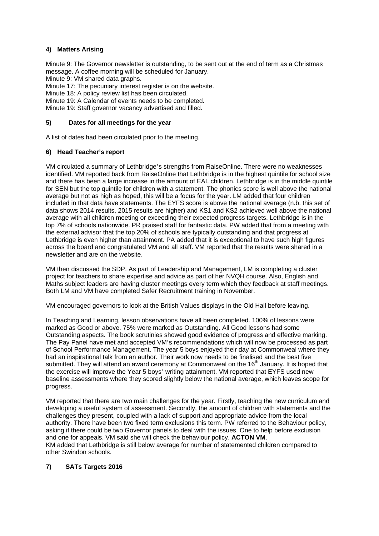# **4) Matters Arising**

Minute 9: The Governor newsletter is outstanding, to be sent out at the end of term as a Christmas message. A coffee morning will be scheduled for January.

Minute 9: VM shared data graphs.

Minute 17: The pecuniary interest register is on the website.

Minute 18: A policy review list has been circulated.

Minute 19: A Calendar of events needs to be completed.

Minute 19: Staff governor vacancy advertised and filled.

#### **5) Dates for all meetings for the year**

A list of dates had been circulated prior to the meeting.

### **6) Head Teacher's report**

VM circulated a summary of Lethbridge's strengths from RaiseOnline. There were no weaknesses identified. VM reported back from RaiseOnline that Lethbridge is in the highest quintile for school size and there has been a large increase in the amount of EAL children. Lethbridge is in the middle quintile for SEN but the top quintile for children with a statement. The phonics score is well above the national average but not as high as hoped, this will be a focus for the year. LM added that four children included in that data have statements. The EYFS score is above the national average (n.b. this set of data shows 2014 results, 2015 results are higher) and KS1 and KS2 achieved well above the national average with all children meeting or exceeding their expected progress targets. Lethbridge is in the top 7% of schools nationwide. PR praised staff for fantastic data. PW added that from a meeting with the external advisor that the top 20% of schools are typically outstanding and that progress at Lethbridge is even higher than attainment. PA added that it is exceptional to have such high figures across the board and congratulated VM and all staff. VM reported that the results were shared in a newsletter and are on the website.

VM then discussed the SDP. As part of Leadership and Management, LM is completing a cluster project for teachers to share expertise and advice as part of her NVQH course. Also, English and Maths subject leaders are having cluster meetings every term which they feedback at staff meetings. Both LM and VM have completed Safer Recruitment training in November.

VM encouraged governors to look at the British Values displays in the Old Hall before leaving.

In Teaching and Learning, lesson observations have all been completed. 100% of lessons were marked as Good or above. 75% were marked as Outstanding. All Good lessons had some Outstanding aspects. The book scrutinies showed good evidence of progress and effective marking. The Pay Panel have met and accepted VM's recommendations which will now be processed as part of School Performance Management. The year 5 boys enjoyed their day at Commonweal where they had an inspirational talk from an author. Their work now needs to be finalised and the best five submitted. They will attend an award ceremony at Commonweal on the 16<sup>th</sup> January. It is hoped that the exercise will improve the Year 5 boys' writing attainment. VM reported that EYFS used new baseline assessments where they scored slightly below the national average, which leaves scope for progress.

VM reported that there are two main challenges for the year. Firstly, teaching the new curriculum and developing a useful system of assessment. Secondly, the amount of children with statements and the challenges they present, coupled with a lack of support and appropriate advice from the local authority. There have been two fixed term exclusions this term. PW referred to the Behaviour policy, asking if there could be two Governor panels to deal with the issues. One to help before exclusion and one for appeals. VM said she will check the behaviour policy. **ACTON VM**. KM added that Lethbridge is still below average for number of statemented children compared to other Swindon schools.

### **7) SATs Targets 2016**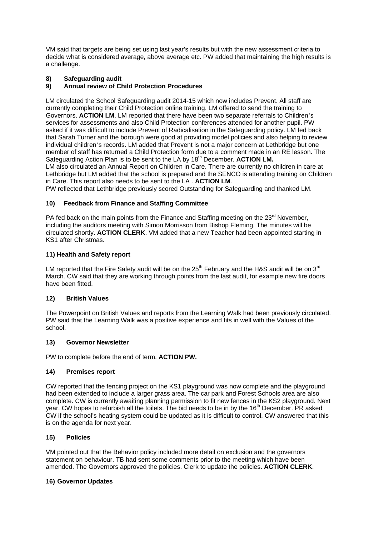VM said that targets are being set using last year's results but with the new assessment criteria to decide what is considered average, above average etc. PW added that maintaining the high results is a challenge.

# **8) Safeguarding audit**

### **9) Annual review of Child Protection Procedures**

LM circulated the School Safeguarding audit 2014-15 which now includes Prevent. All staff are currently completing their Child Protection online training. LM offered to send the training to Governors. **ACTION LM**. LM reported that there have been two separate referrals to Children's services for assessments and also Child Protection conferences attended for another pupil. PW asked if it was difficult to include Prevent of Radicalisation in the Safeguarding policy. LM fed back that Sarah Turner and the borough were good at providing model policies and also helping to review individual children's records. LM added that Prevent is not a major concern at Lethbridge but one member of staff has returned a Child Protection form due to a comment made in an RE lesson. The Safeguarding Action Plan is to be sent to the LA by 18<sup>th</sup> December. **ACTION LM.** LM also circulated an Annual Report on Children in Care. There are currently no children in care at Lethbridge but LM added that the school is prepared and the SENCO is attending training on Children in Care. This report also needs to be sent to the LA . **ACTION LM**. PW reflected that Lethbridge previously scored Outstanding for Safeguarding and thanked LM.

#### **10) Feedback from Finance and Staffing Committee**

PA fed back on the main points from the Finance and Staffing meeting on the  $23<sup>rd</sup>$  November, including the auditors meeting with Simon Morrisson from Bishop Fleming. The minutes will be circulated shortly. **ACTION CLERK**. VM added that a new Teacher had been appointed starting in KS1 after Christmas.

### **11) Health and Safety report**

LM reported that the Fire Safety audit will be on the  $25<sup>th</sup>$  February and the H&S audit will be on  $3<sup>rd</sup>$ March. CW said that they are working through points from the last audit, for example new fire doors have been fitted.

### **12) British Values**

The Powerpoint on British Values and reports from the Learning Walk had been previously circulated. PW said that the Learning Walk was a positive experience and fits in well with the Values of the school.

#### **13) Governor Newsletter**

PW to complete before the end of term. **ACTION PW.**

### **14) Premises report**

CW reported that the fencing project on the KS1 playground was now complete and the playground had been extended to include a larger grass area. The car park and Forest Schools area are also complete. CW is currently awaiting planning permission to fit new fences in the KS2 playground. Next year, CW hopes to refurbish all the toilets. The bid needs to be in by the 16<sup>th</sup> December. PR asked CW if the school's heating system could be updated as it is difficult to control. CW answered that this is on the agenda for next year.

#### **15) Policies**

VM pointed out that the Behavior policy included more detail on exclusion and the governors statement on behaviour. TB had sent some comments prior to the meeting which have been amended. The Governors approved the policies. Clerk to update the policies. **ACTION CLERK**.

#### **16) Governor Updates**